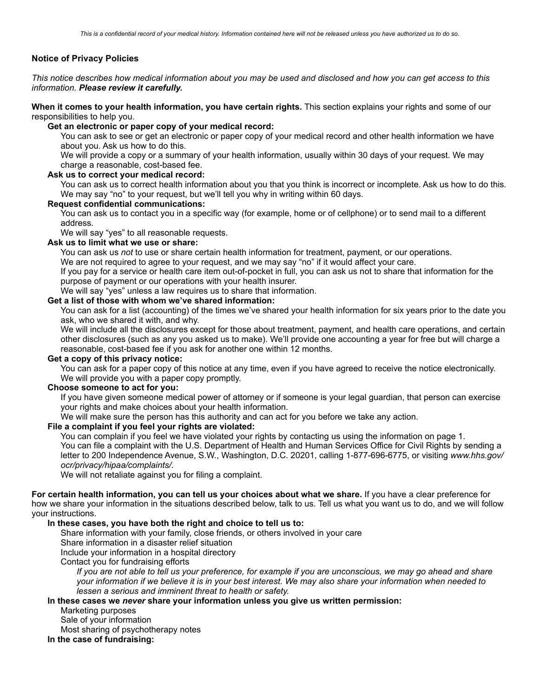# **Notice of Privacy Policies**

*This notice describes how medical information about you may be used and disclosed and how you can get access to this information. Please review it carefully.* 

**When it comes to your health information, you have certain rights.** This section explains your rights and some of our responsibilities to help you.

## **Get an electronic or paper copy of your medical record:**

You can ask to see or get an electronic or paper copy of your medical record and other health information we have about you. Ask us how to do this.

We will provide a copy or a summary of your health information, usually within 30 days of your request. We may charge a reasonable, cost-based fee.

# **Ask us to correct your medical record:**

You can ask us to correct health information about you that you think is incorrect or incomplete. Ask us how to do this. We may say "no" to your request, but we'll tell you why in writing within 60 days.

#### **Request confidential communications:**

You can ask us to contact you in a specific way (for example, home or of cellphone) or to send mail to a different address.

We will say "yes" to all reasonable requests.

## **Ask us to limit what we use or share:**

You can ask us *not* to use or share certain health information for treatment, payment, or our operations.

We are not required to agree to your request, and we may say "no" if it would affect your care.

If you pay for a service or health care item out-of-pocket in full, you can ask us not to share that information for the purpose of payment or our operations with your health insurer.

We will say "yes" unless a law requires us to share that information.

## **Get a list of those with whom we've shared information:**

You can ask for a list (accounting) of the times we've shared your health information for six years prior to the date you ask, who we shared it with, and why.

We will include all the disclosures except for those about treatment, payment, and health care operations, and certain other disclosures (such as any you asked us to make). We'll provide one accounting a year for free but will charge a reasonable, cost-based fee if you ask for another one within 12 months.

# **Get a copy of this privacy notice:**

You can ask for a paper copy of this notice at any time, even if you have agreed to receive the notice electronically. We will provide you with a paper copy promptly.

## **Choose someone to act for you:**

If you have given someone medical power of attorney or if someone is your legal guardian, that person can exercise your rights and make choices about your health information.

We will make sure the person has this authority and can act for you before we take any action.

## **File a complaint if you feel your rights are violated:**

You can complain if you feel we have violated your rights by contacting us using the information on page 1. You can file a complaint with the U.S. Department of Health and Human Services Office for Civil Rights by sending a letter to 200 Independence Avenue, S.W., Washington, D.C. 20201, calling 1-877-696-6775, or visiting *www.hhs.gov/ ocr/privacy/hipaa/complaints/.*

We will not retaliate against you for filing a complaint.

**For certain health information, you can tell us your choices about what we share.** If you have a clear preference for how we share your information in the situations described below, talk to us. Tell us what you want us to do, and we will follow your instructions.

# **In these cases, you have both the right and choice to tell us to:**

Share information with your family, close friends, or others involved in your care

Share information in a disaster relief situation

Include your information in a hospital directory

Contact you for fundraising efforts

*If you are not able to tell us your preference, for example if you are unconscious, we may go ahead and share your information if we believe it is in your best interest. We may also share your information when needed to lessen a serious and imminent threat to health or safety.* 

# **In these cases we** *never* **share your information unless you give us written permission:**

Marketing purposes

Sale of your information

Most sharing of psychotherapy notes

**In the case of fundraising:**